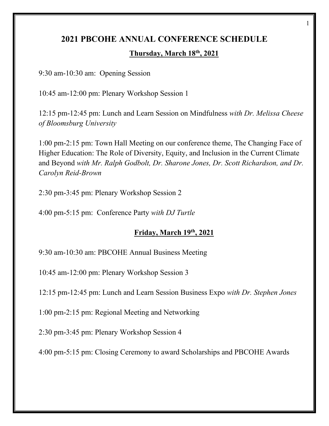# **2021 PBCOHE ANNUAL CONFERENCE SCHEDULE Thursday, March 18th, 2021**

1

9:30 am-10:30 am: Opening Session

10:45 am-12:00 pm: Plenary Workshop Session 1

12:15 pm-12:45 pm: Lunch and Learn Session on Mindfulness *with Dr. Melissa Cheese of Bloomsburg University* 

1:00 pm-2:15 pm: Town Hall Meeting on our conference theme, The Changing Face of Higher Education: The Role of Diversity, Equity, and Inclusion in the Current Climate and Beyond *with Mr. Ralph Godbolt, Dr. Sharone Jones, Dr. Scott Richardson, and Dr. Carolyn Reid-Brown*

2:30 pm-3:45 pm: Plenary Workshop Session 2

4:00 pm-5:15 pm: Conference Party *with DJ Turtle*

## **Friday, March 19th, 2021**

9:30 am-10:30 am: PBCOHE Annual Business Meeting

10:45 am-12:00 pm: Plenary Workshop Session 3

12:15 pm-12:45 pm: Lunch and Learn Session Business Expo *with Dr. Stephen Jones* 

1:00 pm-2:15 pm: Regional Meeting and Networking

2:30 pm-3:45 pm: Plenary Workshop Session 4

4:00 pm-5:15 pm: Closing Ceremony to award Scholarships and PBCOHE Awards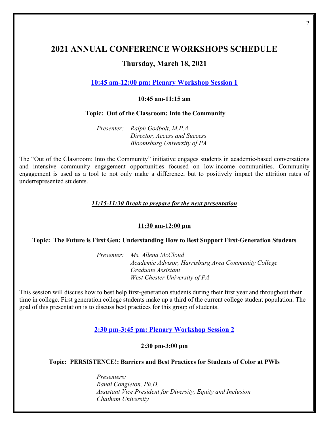# **2021 ANNUAL CONFERENCE WORKSHOPS SCHEDULE Thursday, March 18, 2021**

**10:45 am-12:00 pm: Plenary Workshop Session 1**

#### **10:45 am-11:15 am**

#### **Topic: Out of the Classroom: Into the Community**

*Presenter: Ralph Godbolt, M.P.A. Director, Access and Success Bloomsburg University of PA*

The "Out of the Classroom: Into the Community" initiative engages students in academic-based conversations and intensive community engagement opportunities focused on low-income communities. Community engagement is used as a tool to not only make a difference, but to positively impact the attrition rates of underrepresented students.

#### *11:15-11:30 Break to prepare for the next presentation*

#### **11:30 am-12:00 pm**

#### **Topic: The Future is First Gen: Understanding How to Best Support First-Generation Students**

*Presenter: Ms. Allena McCloud Academic Advisor, Harrisburg Area Community College Graduate Assistant West Chester University of PA*

This session will discuss how to best help first-generation students during their first year and throughout their time in college. First generation college students make up a third of the current college student population. The goal of this presentation is to discuss best practices for this group of students.

**2:30 pm-3:45 pm: Plenary Workshop Session 2**

#### **2:30 pm-3:00 pm**

#### **Topic: PERSISTENCE!: Barriers and Best Practices for Students of Color at PWIs**

*Presenters: Randi Congleton, Ph.D. Assistant Vice President for Diversity, Equity and Inclusion Chatham University*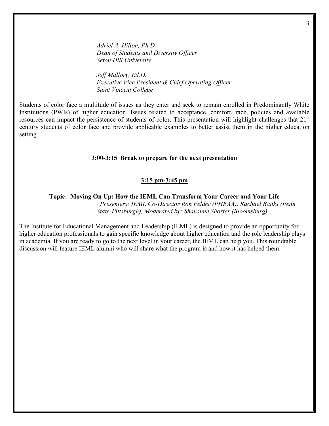*Adriel A. Hilton, Ph.D. Dean of Students and Diversity Officer Seton Hill University*

*Jeff Mallory, Ed.D. Executive Vice President & Chief Operating Officer Saint Vincent College*

Students of color face a multitude of issues as they enter and seek to remain enrolled in Predominantly White Institutions (PWIs) of higher education. Issues related to acceptance, comfort, race, policies and available resources can impact the persistence of students of color. This presentation will highlight challenges that 21<sup>st</sup> century students of color face and provide applicable examples to better assist them in the higher education setting.

#### **3:00-3:15 Break to prepare for the next presentation**

#### **3:15 pm-3:45 pm**

**Topic: Moving On Up: How the IEML Can Transform Your Career and Your Life**

 *Presenters: IEML Co-Director Ron Felder (PHEAA), Rachael Banks (Penn State-Pittsburgh), Moderated by: Shavonne Shorter (Bloomsburg)* 

The Institute for Educational Management and Leadership (IEML) is designed to provide an opportunity for higher education professionals to gain specific knowledge about higher education and the role leadership plays in academia. If you are ready to go to the next level in your career, the IEML can help you. This roundtable discussion will feature IEML alumni who will share what the program is and how it has helped them.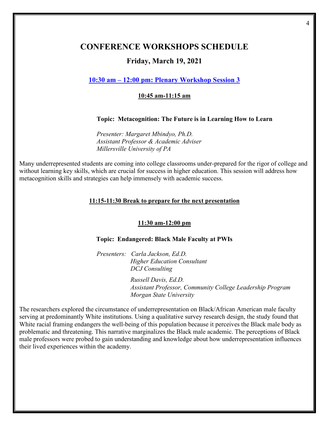### **CONFERENCE WORKSHOPS SCHEDULE**

### **Friday, March 19, 2021**

### **10:30 am – 12:00 pm: Plenary Workshop Session 3**

#### **10:45 am-11:15 am**

#### **Topic: Metacognition: The Future is in Learning How to Learn**

*Presenter: Margaret Mbindyo, Ph.D. Assistant Professor & Academic Adviser Millersville University of PA*

Many underrepresented students are coming into college classrooms under-prepared for the rigor of college and without learning key skills, which are crucial for success in higher education. This session will address how metacognition skills and strategies can help immensely with academic success.

#### **11:15-11:30 Break to prepare for the next presentation**

#### **11:30 am-12:00 pm**

#### **Topic: Endangered: Black Male Faculty at PWIs**

*Presenters: Carla Jackson, Ed.D. Higher Education Consultant DCJ Consulting*

> *Russell Davis, Ed.D. Assistant Professor, Community College Leadership Program Morgan State University*

The researchers explored the circumstance of underrepresentation on Black/African American male faculty serving at predominantly White institutions. Using a qualitative survey research design, the study found that White racial framing endangers the well-being of this population because it perceives the Black male body as problematic and threatening. This narrative marginalizes the Black male academic. The perceptions of Black male professors were probed to gain understanding and knowledge about how underrepresentation influences their lived experiences within the academy.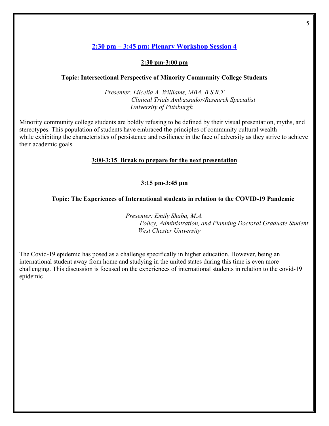### **2:30 pm – 3:45 pm: Plenary Workshop Session 4**

#### **2:30 pm-3:00 pm**

#### **Topic: Intersectional Perspective of Minority Community College Students**

*Presenter: Lilcelia A. Williams, MBA, B.S.R.T Clinical Trials Ambassador/Research Specialist University of Pittsburgh*

Minority community college students are boldly refusing to be defined by their visual presentation, myths, and stereotypes. This population of students have embraced the principles of community cultural wealth while exhibiting the characteristics of persistence and resilience in the face of adversity as they strive to achieve their academic goals

#### **3:00-3:15 Break to prepare for the next presentation**

#### **3:15 pm-3:45 pm**

#### **Topic: The Experiences of International students in relation to the COVID-19 Pandemic**

*Presenter: Emily Shaba, M.A. Policy, Administration, and Planning Doctoral Graduate Student West Chester University*

The Covid-19 epidemic has posed as a challenge specifically in higher education. However, being an international student away from home and studying in the united states during this time is even more challenging. This discussion is focused on the experiences of international students in relation to the covid-19 epidemic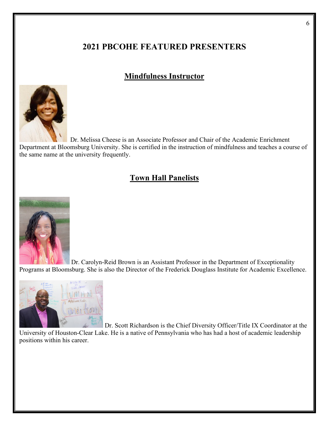## **2021 PBCOHE FEATURED PRESENTERS**

## **Mindfulness Instructor**



 Dr. Melissa Cheese is an Associate Professor and Chair of the Academic Enrichment Department at Bloomsburg University. She is certified in the instruction of mindfulness and teaches a course of the same name at the university frequently.

## **Town Hall Panelists**



Dr. Carolyn-Reid Brown is an Assistant Professor in the Department of Exceptionality Programs at Bloomsburg. She is also the Director of the Frederick Douglass Institute for Academic Excellence.



Dr. Scott Richardson is the Chief Diversity Officer/Title IX Coordinator at the

University of Houston-Clear Lake. He is a native of Pennsylvania who has had a host of academic leadership positions within his career.